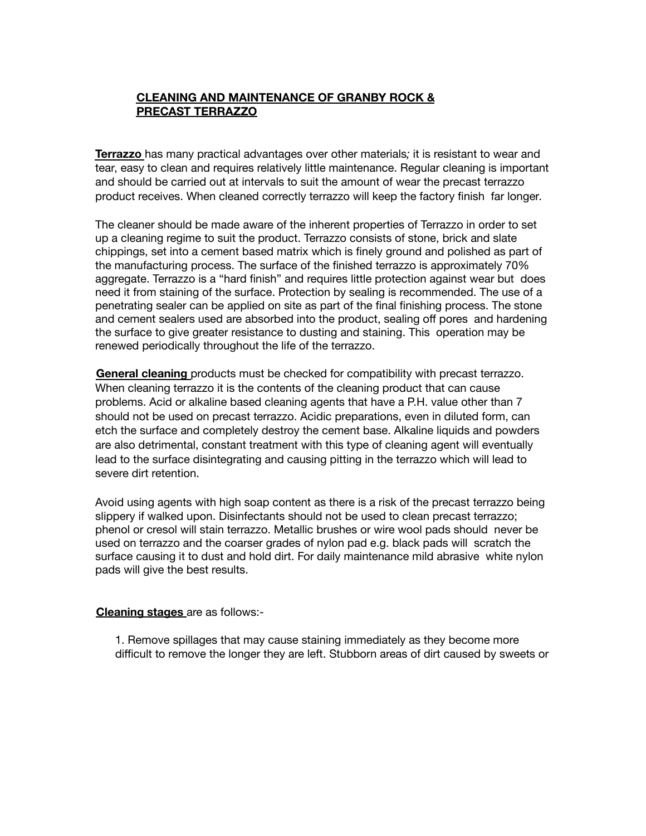## **CLEANING AND MAINTENANCE OF GRANBY ROCK & PRECAST TERRAZZO**

**Terrazzo** has many practical advantages over other materials*;* it is resistant to wear and tear, easy to clean and requires relatively little maintenance. Regular cleaning is important and should be carried out at intervals to suit the amount of wear the precast terrazzo product receives. When cleaned correctly terrazzo will keep the factory finish far longer.

The cleaner should be made aware of the inherent properties of Terrazzo in order to set up a cleaning regime to suit the product. Terrazzo consists of stone, brick and slate chippings, set into a cement based matrix which is finely ground and polished as part of the manufacturing process. The surface of the finished terrazzo is approximately 70% aggregate. Terrazzo is a "hard finish" and requires little protection against wear but does need it from staining of the surface. Protection by sealing is recommended. The use of a penetrating sealer can be applied on site as part of the final finishing process. The stone and cement sealers used are absorbed into the product, sealing off pores and hardening the surface to give greater resistance to dusting and staining. This operation may be renewed periodically throughout the life of the terrazzo.

**General cleaning** products must be checked for compatibility with precast terrazzo. When cleaning terrazzo it is the contents of the cleaning product that can cause problems. Acid or alkaline based cleaning agents that have a P.H. value other than 7 should not be used on precast terrazzo. Acidic preparations, even in diluted form, can etch the surface and completely destroy the cement base. Alkaline liquids and powders are also detrimental, constant treatment with this type of cleaning agent will eventually lead to the surface disintegrating and causing pitting in the terrazzo which will lead to severe dirt retention.

Avoid using agents with high soap content as there is a risk of the precast terrazzo being slippery if walked upon. Disinfectants should not be used to clean precast terrazzo; phenol or cresol will stain terrazzo. Metallic brushes or wire wool pads should never be used on terrazzo and the coarser grades of nylon pad e.g. black pads will scratch the surface causing it to dust and hold dirt. For daily maintenance mild abrasive white nylon pads will give the best results.

## **Cleaning stages** are as follows:-

1. Remove spillages that may cause staining immediately as they become more difficult to remove the longer they are left. Stubborn areas of dirt caused by sweets or